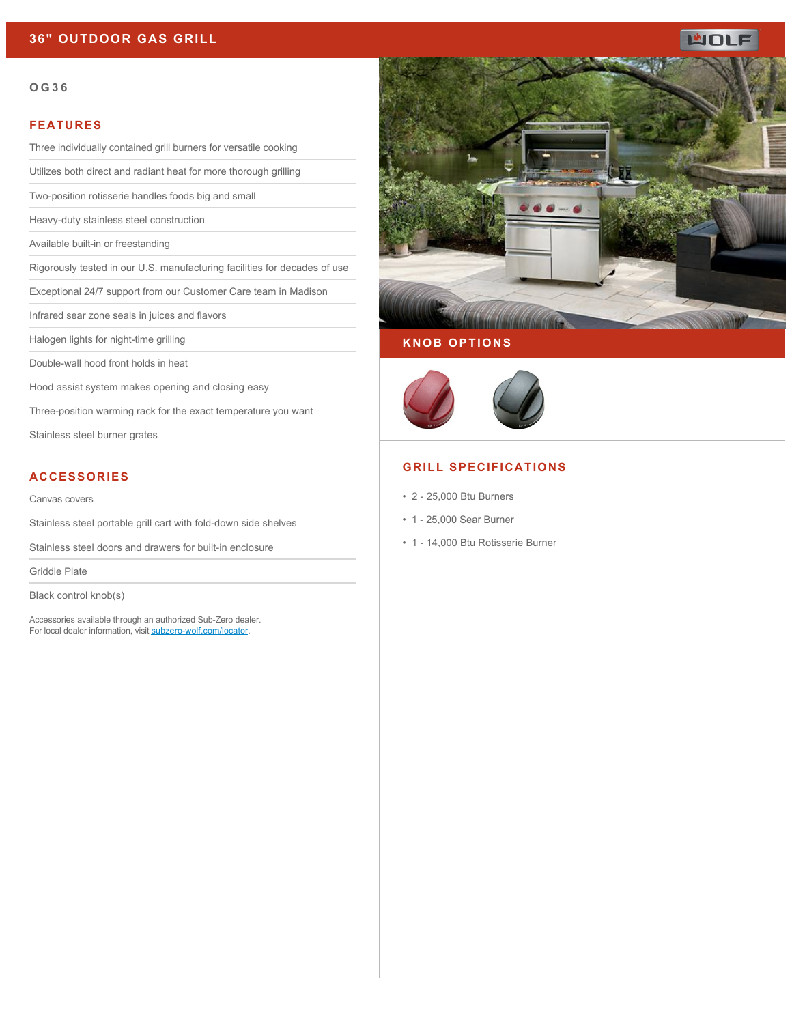# **36" OUTDOOR GAS GRILL**

# ப்ப

#### **OG36**

#### **FEATURES**

Three individually contained grill burners for versatile cooking

Utilizes both direct and radiant heat for more thorough grilling

Two-position rotisserie handles foods big and small

Heavy-duty stainless steel construction

Available built-in or freestanding

Rigorously tested in our U.S. manufacturing facilities for decades of use

Exceptional 24/7 support from our Customer Care team in Madison

Infrared sear zone seals in juices and flavors

Halogen lights for night-time grilling

Double-wall hood front holds in heat

Hood assist system makes opening and closing easy

Three-position warming rack for the exact temperature you want

Stainless steel burner grates

### **ACCESSORIES**

Canvas covers

Stainless steel portable grill cart with fold-down side shelves

Stainless steel doors and drawers for built-in enclosure

Griddle Plate

Black control knob(s)

Accessories available through an authorized Sub-Zero dealer. For local dealer information, visit [subzero-wolf.com/locator.](http://www.subzero-wolf.com/locator)



# **KNOB OPTIONS**



## **GRILL SPECIFICATIONS**

- 2 25,000 Btu Burners
- 1 25,000 Sear Burner
- 1 14,000 Btu Rotisserie Burner